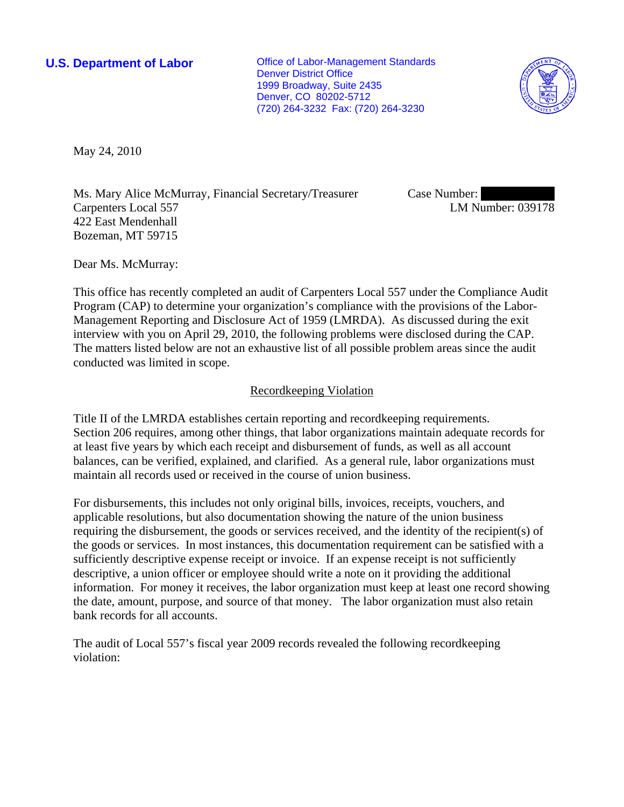**U.S. Department of Labor Conservative Conservative Conservative Conservative Conservative Conservative Conservative Conservative Conservative Conservative Conservative Conservative Conservative Conservative Conservative** Denver District Office 1999 Broadway, Suite 2435 Denver, CO 80202-5712 (720) 264-3232 Fax: (720) 264-3230



May 24, 2010

Ms. Mary Alice McMurray, Financial Secretary/Treasurer Carpenters Local 557 422 East Mendenhall Bozeman, MT 59715

Case Number: LM Number: 039178

Dear Ms. McMurray:

This office has recently completed an audit of Carpenters Local 557 under the Compliance Audit Program (CAP) to determine your organization's compliance with the provisions of the Labor-Management Reporting and Disclosure Act of 1959 (LMRDA). As discussed during the exit interview with you on April 29, 2010, the following problems were disclosed during the CAP. The matters listed below are not an exhaustive list of all possible problem areas since the audit conducted was limited in scope.

## Recordkeeping Violation

Title II of the LMRDA establishes certain reporting and recordkeeping requirements. Section 206 requires, among other things, that labor organizations maintain adequate records for at least five years by which each receipt and disbursement of funds, as well as all account balances, can be verified, explained, and clarified. As a general rule, labor organizations must maintain all records used or received in the course of union business.

For disbursements, this includes not only original bills, invoices, receipts, vouchers, and applicable resolutions, but also documentation showing the nature of the union business requiring the disbursement, the goods or services received, and the identity of the recipient(s) of the goods or services. In most instances, this documentation requirement can be satisfied with a sufficiently descriptive expense receipt or invoice. If an expense receipt is not sufficiently descriptive, a union officer or employee should write a note on it providing the additional information. For money it receives, the labor organization must keep at least one record showing the date, amount, purpose, and source of that money. The labor organization must also retain bank records for all accounts.

The audit of Local 557's fiscal year 2009 records revealed the following recordkeeping violation: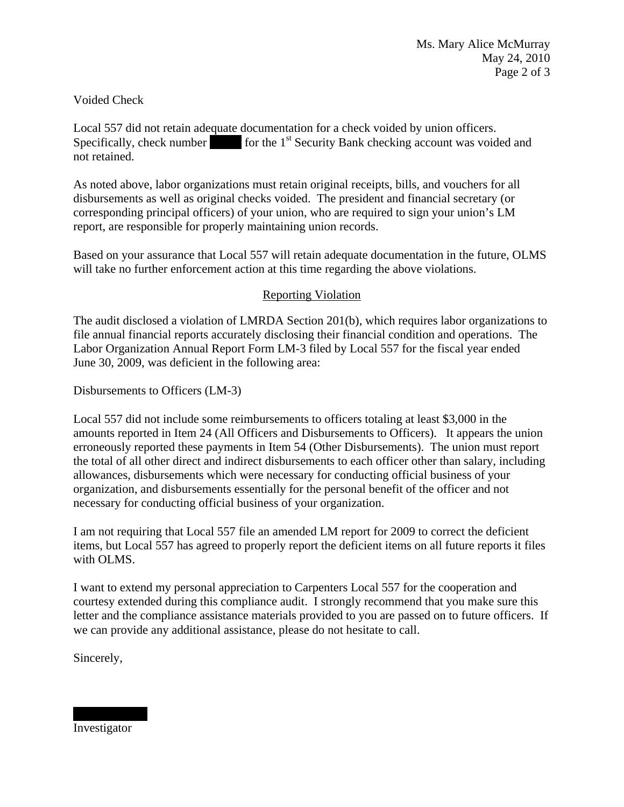## Voided Check

Local 557 did not retain adequate documentation for a check voided by union officers. Specifically, check number  $\int$  for the 1<sup>st</sup> Security Bank checking account was voided and not retained.

As noted above, labor organizations must retain original receipts, bills, and vouchers for all disbursements as well as original checks voided. The president and financial secretary (or corresponding principal officers) of your union, who are required to sign your union's LM report, are responsible for properly maintaining union records.

Based on your assurance that Local 557 will retain adequate documentation in the future, OLMS will take no further enforcement action at this time regarding the above violations.

## Reporting Violation

The audit disclosed a violation of LMRDA Section 201(b), which requires labor organizations to file annual financial reports accurately disclosing their financial condition and operations. The Labor Organization Annual Report Form LM-3 filed by Local 557 for the fiscal year ended June 30, 2009, was deficient in the following area:

Disbursements to Officers (LM-3)

Local 557 did not include some reimbursements to officers totaling at least \$3,000 in the amounts reported in Item 24 (All Officers and Disbursements to Officers). It appears the union erroneously reported these payments in Item 54 (Other Disbursements). The union must report the total of all other direct and indirect disbursements to each officer other than salary, including allowances, disbursements which were necessary for conducting official business of your organization, and disbursements essentially for the personal benefit of the officer and not necessary for conducting official business of your organization.

I am not requiring that Local 557 file an amended LM report for 2009 to correct the deficient items, but Local 557 has agreed to properly report the deficient items on all future reports it files with OLMS.

I want to extend my personal appreciation to Carpenters Local 557 for the cooperation and courtesy extended during this compliance audit. I strongly recommend that you make sure this letter and the compliance assistance materials provided to you are passed on to future officers. If we can provide any additional assistance, please do not hesitate to call.

Sincerely,

Investigator

||||||||||| ||||||||||||||||||